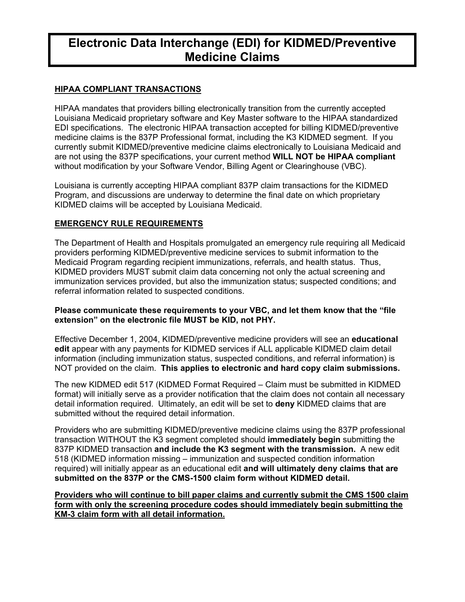# **Electronic Data Interchange (EDI) for KIDMED/Preventive Medicine Claims**

# **HIPAA COMPLIANT TRANSACTIONS**

HIPAA mandates that providers billing electronically transition from the currently accepted Louisiana Medicaid proprietary software and Key Master software to the HIPAA standardized EDI specifications. The electronic HIPAA transaction accepted for billing KIDMED/preventive medicine claims is the 837P Professional format, including the K3 KIDMED segment. If you currently submit KIDMED/preventive medicine claims electronically to Louisiana Medicaid and are not using the 837P specifications, your current method **WILL NOT be HIPAA compliant** without modification by your Software Vendor, Billing Agent or Clearinghouse (VBC).

Louisiana is currently accepting HIPAA compliant 837P claim transactions for the KIDMED Program, and discussions are underway to determine the final date on which proprietary KIDMED claims will be accepted by Louisiana Medicaid.

# **EMERGENCY RULE REQUIREMENTS**

The Department of Health and Hospitals promulgated an emergency rule requiring all Medicaid providers performing KIDMED/preventive medicine services to submit information to the Medicaid Program regarding recipient immunizations, referrals, and health status. Thus, KIDMED providers MUST submit claim data concerning not only the actual screening and immunization services provided, but also the immunization status; suspected conditions; and referral information related to suspected conditions.

#### **Please communicate these requirements to your VBC, and let them know that the "file extension" on the electronic file MUST be KID, not PHY.**

Effective December 1, 2004, KIDMED/preventive medicine providers will see an **educational edit** appear with any payments for KIDMED services if ALL applicable KIDMED claim detail information (including immunization status, suspected conditions, and referral information) is NOT provided on the claim. **This applies to electronic and hard copy claim submissions.**

The new KIDMED edit 517 (KIDMED Format Required – Claim must be submitted in KIDMED format) will initially serve as a provider notification that the claim does not contain all necessary detail information required. Ultimately, an edit will be set to **deny** KIDMED claims that are submitted without the required detail information.

Providers who are submitting KIDMED/preventive medicine claims using the 837P professional transaction WITHOUT the K3 segment completed should **immediately begin** submitting the 837P KIDMED transaction **and include the K3 segment with the transmission.** A new edit 518 (KIDMED information missing – immunization and suspected condition information required) will initially appear as an educational edit **and will ultimately deny claims that are submitted on the 837P or the CMS-1500 claim form without KIDMED detail.**

**Providers who will continue to bill paper claims and currently submit the CMS 1500 claim form with only the screening procedure codes should immediately begin submitting the KM-3 claim form with all detail information.**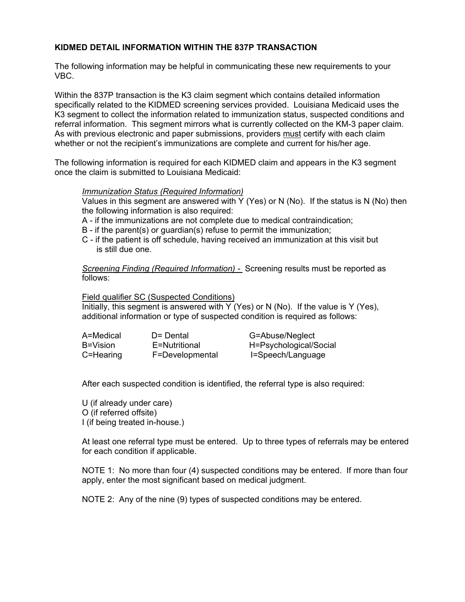## **KIDMED DETAIL INFORMATION WITHIN THE 837P TRANSACTION**

The following information may be helpful in communicating these new requirements to your VBC.

Within the 837P transaction is the K3 claim segment which contains detailed information specifically related to the KIDMED screening services provided. Louisiana Medicaid uses the K3 segment to collect the information related to immunization status, suspected conditions and referral information. This segment mirrors what is currently collected on the KM-3 paper claim. As with previous electronic and paper submissions, providers must certify with each claim whether or not the recipient's immunizations are complete and current for his/her age.

The following information is required for each KIDMED claim and appears in the K3 segment once the claim is submitted to Louisiana Medicaid:

#### *Immunization Status (Required Information)*

Values in this segment are answered with Y (Yes) or N (No). If the status is N (No) then the following information is also required:

- A if the immunizations are not complete due to medical contraindication;
- B if the parent(s) or guardian(s) refuse to permit the immunization;
- C if the patient is off schedule, having received an immunization at this visit but is still due one.

*Screening Finding (Required Information) -* Screening results must be reported as follows:

Field qualifier SC (Suspected Conditions)

Initially, this segment is answered with Y (Yes) or N (No). If the value is Y (Yes), additional information or type of suspected condition is required as follows:

| A=Medical | D= Dental       | G=Abuse/Neglect        |
|-----------|-----------------|------------------------|
| B=Vision  | E=Nutritional   | H=Psychological/Social |
| C=Hearing | F=Developmental | I=Speech/Language      |

After each suspected condition is identified, the referral type is also required:

U (if already under care) O (if referred offsite) I (if being treated in-house.)

At least one referral type must be entered. Up to three types of referrals may be entered for each condition if applicable.

NOTE 1: No more than four (4) suspected conditions may be entered. If more than four apply, enter the most significant based on medical judgment.

NOTE 2: Any of the nine (9) types of suspected conditions may be entered.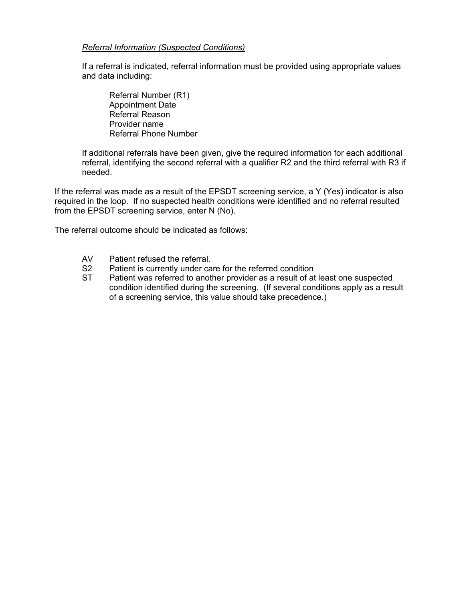#### *Referral Information (Suspected Conditions)*

If a referral is indicated, referral information must be provided using appropriate values and data including:

 Referral Number (R1) Appointment Date Referral Reason Provider name Referral Phone Number

If additional referrals have been given, give the required information for each additional referral, identifying the second referral with a qualifier R2 and the third referral with R3 if needed.

If the referral was made as a result of the EPSDT screening service, a Y (Yes) indicator is also required in the loop. If no suspected health conditions were identified and no referral resulted from the EPSDT screening service, enter N (No).

The referral outcome should be indicated as follows:

- AV Patient refused the referral.
- S2 Patient is currently under care for the referred condition
- ST Patient was referred to another provider as a result of at least one suspected condition identified during the screening. (If several conditions apply as a result of a screening service, this value should take precedence.)